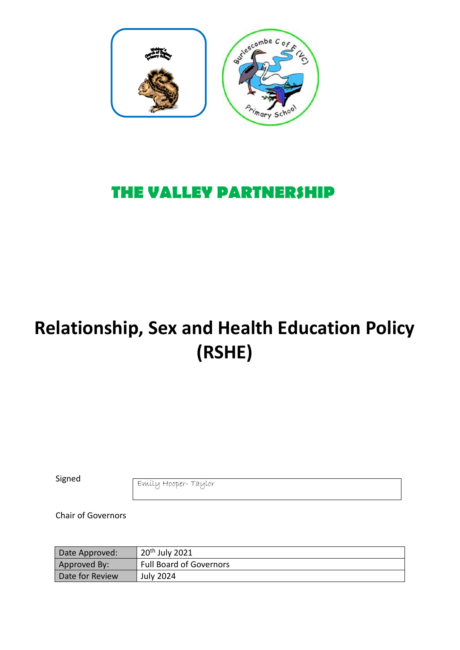

# **THE VALLEY PARTNERSHIP**

# **Relationship, Sex and Health Education Policy (RSHE)**

Signed

Emily Hooper- Taylor

Chair of Governors

| Date Approved:  | 20 <sup>th</sup> July 2021     |
|-----------------|--------------------------------|
| Approved By:    | <b>Full Board of Governors</b> |
| Date for Review | <b>July 2024</b>               |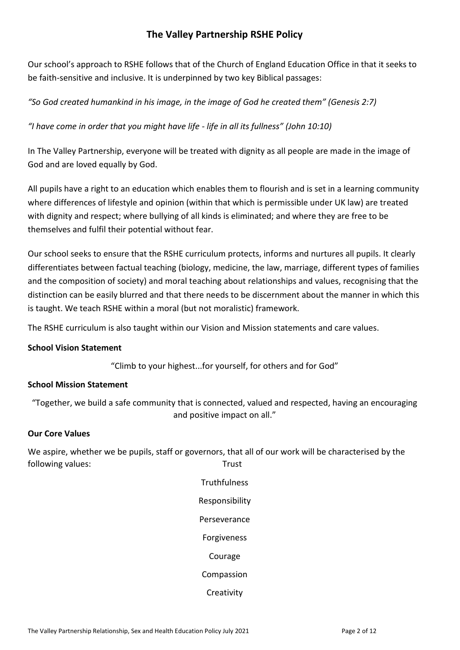# **The Valley Partnership RSHE Policy**

Our school's approach to RSHE follows that of the Church of England Education Office in that it seeks to be faith-sensitive and inclusive. It is underpinned by two key Biblical passages:

*"So God created humankind in his image, in the image of God he created them" (Genesis 2:7)*

*"I have come in order that you might have life - life in all its fullness" (John 10:10)*

In The Valley Partnership, everyone will be treated with dignity as all people are made in the image of God and are loved equally by God.

All pupils have a right to an education which enables them to flourish and is set in a learning community where differences of lifestyle and opinion (within that which is permissible under UK law) are treated with dignity and respect; where bullying of all kinds is eliminated; and where they are free to be themselves and fulfil their potential without fear.

Our school seeks to ensure that the RSHE curriculum protects, informs and nurtures all pupils. It clearly differentiates between factual teaching (biology, medicine, the law, marriage, different types of families and the composition of society) and moral teaching about relationships and values, recognising that the distinction can be easily blurred and that there needs to be discernment about the manner in which this is taught. We teach RSHE within a moral (but not moralistic) framework.

The RSHE curriculum is also taught within our Vision and Mission statements and care values.

#### **School Vision Statement**

"Climb to your highest...for yourself, for others and for God"

#### **School Mission Statement**

"Together, we build a safe community that is connected, valued and respected, having an encouraging and positive impact on all."

#### **Our Core Values**

We aspire, whether we be pupils, staff or governors, that all of our work will be characterised by the following values: Trust

> **Truthfulness** Responsibility Perseverance Forgiveness Courage Compassion **Creativity**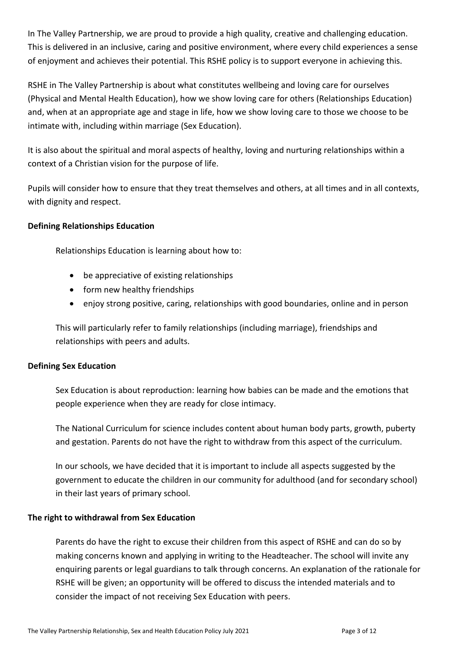In The Valley Partnership, we are proud to provide a high quality, creative and challenging education. This is delivered in an inclusive, caring and positive environment, where every child experiences a sense of enjoyment and achieves their potential. This RSHE policy is to support everyone in achieving this.

RSHE in The Valley Partnership is about what constitutes wellbeing and loving care for ourselves (Physical and Mental Health Education), how we show loving care for others (Relationships Education) and, when at an appropriate age and stage in life, how we show loving care to those we choose to be intimate with, including within marriage (Sex Education).

It is also about the spiritual and moral aspects of healthy, loving and nurturing relationships within a context of a Christian vision for the purpose of life.

Pupils will consider how to ensure that they treat themselves and others, at all times and in all contexts, with dignity and respect.

# **Defining Relationships Education**

Relationships Education is learning about how to:

- be appreciative of existing relationships
- form new healthy friendships
- enjoy strong positive, caring, relationships with good boundaries, online and in person

This will particularly refer to family relationships (including marriage), friendships and relationships with peers and adults.

# **Defining Sex Education**

Sex Education is about reproduction: learning how babies can be made and the emotions that people experience when they are ready for close intimacy.

The National Curriculum for science includes content about human body parts, growth, puberty and gestation. Parents do not have the right to withdraw from this aspect of the curriculum.

In our schools, we have decided that it is important to include all aspects suggested by the government to educate the children in our community for adulthood (and for secondary school) in their last years of primary school.

#### **The right to withdrawal from Sex Education**

Parents do have the right to excuse their children from this aspect of RSHE and can do so by making concerns known and applying in writing to the Headteacher. The school will invite any enquiring parents or legal guardians to talk through concerns. An explanation of the rationale for RSHE will be given; an opportunity will be offered to discuss the intended materials and to consider the impact of not receiving Sex Education with peers.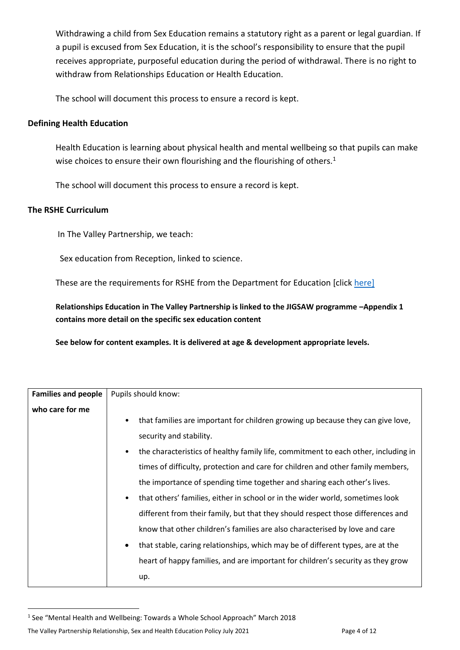Withdrawing a child from Sex Education remains a statutory right as a parent or legal guardian. If a pupil is excused from Sex Education, it is the school's responsibility to ensure that the pupil receives appropriate, purposeful education during the period of withdrawal. There is no right to withdraw from Relationships Education or Health Education.

The school will document this process to ensure a record is kept.

#### **Defining Health Education**

Health Education is learning about physical health and mental wellbeing so that pupils can make wise choices to ensure their own flourishing and the flourishing of others.<sup>1</sup>

The school will document this process to ensure a record is kept.

#### **The RSHE Curriculum**

In The Valley Partnership, we teach:

Sex education from Reception, linked to science.

These are the requirements for RSHE from the Department for Education [click [here\]](https://assets.publishing.service.gov.uk/government/uploads/system/uploads/attachment_data/file/805781/Relationships_Education__Relationships_and_Sex_Education__RSE__and_Health_Education.pdf)

**Relationships Education in The Valley Partnership is linked to the JIGSAW programme –Appendix 1 contains more detail on the specific sex education content** 

**See below for content examples. It is delivered at age & development appropriate levels.**

| <b>Families and people</b> | Pupils should know:                                                                             |
|----------------------------|-------------------------------------------------------------------------------------------------|
|                            |                                                                                                 |
| who care for me            |                                                                                                 |
|                            | that families are important for children growing up because they can give love,                 |
|                            | security and stability.                                                                         |
|                            | the characteristics of healthy family life, commitment to each other, including in<br>$\bullet$ |
|                            | times of difficulty, protection and care for children and other family members,                 |
|                            | the importance of spending time together and sharing each other's lives.                        |
|                            | that others' families, either in school or in the wider world, sometimes look                   |
|                            | different from their family, but that they should respect those differences and                 |
|                            | know that other children's families are also characterised by love and care                     |
|                            | that stable, caring relationships, which may be of different types, are at the                  |
|                            | heart of happy families, and are important for children's security as they grow                 |
|                            | up.                                                                                             |

<sup>&</sup>lt;sup>1</sup> See "Mental Health and Wellbeing: Towards a Whole School Approach" March 2018

The Valley Partnership Relationship, Sex and Health Education Policy July 2021 Page 4 of 12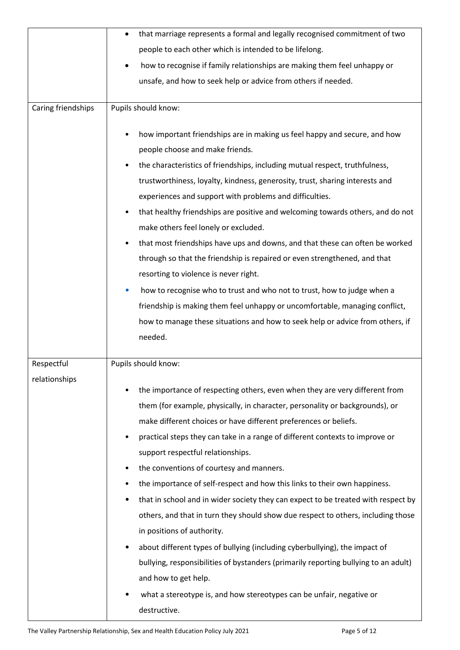|                             | that marriage represents a formal and legally recognised commitment of two<br>$\bullet$                                                                                                                                                                                                                                                                                                                                                                                                                                                                                                                                                                                                                                                                                                                                                                                                                                                        |
|-----------------------------|------------------------------------------------------------------------------------------------------------------------------------------------------------------------------------------------------------------------------------------------------------------------------------------------------------------------------------------------------------------------------------------------------------------------------------------------------------------------------------------------------------------------------------------------------------------------------------------------------------------------------------------------------------------------------------------------------------------------------------------------------------------------------------------------------------------------------------------------------------------------------------------------------------------------------------------------|
|                             | people to each other which is intended to be lifelong.                                                                                                                                                                                                                                                                                                                                                                                                                                                                                                                                                                                                                                                                                                                                                                                                                                                                                         |
|                             | how to recognise if family relationships are making them feel unhappy or<br>$\bullet$                                                                                                                                                                                                                                                                                                                                                                                                                                                                                                                                                                                                                                                                                                                                                                                                                                                          |
|                             | unsafe, and how to seek help or advice from others if needed.                                                                                                                                                                                                                                                                                                                                                                                                                                                                                                                                                                                                                                                                                                                                                                                                                                                                                  |
|                             |                                                                                                                                                                                                                                                                                                                                                                                                                                                                                                                                                                                                                                                                                                                                                                                                                                                                                                                                                |
| Caring friendships          | Pupils should know:                                                                                                                                                                                                                                                                                                                                                                                                                                                                                                                                                                                                                                                                                                                                                                                                                                                                                                                            |
|                             | how important friendships are in making us feel happy and secure, and how<br>people choose and make friends.<br>the characteristics of friendships, including mutual respect, truthfulness,<br>trustworthiness, loyalty, kindness, generosity, trust, sharing interests and<br>experiences and support with problems and difficulties.<br>that healthy friendships are positive and welcoming towards others, and do not<br>make others feel lonely or excluded.<br>that most friendships have ups and downs, and that these can often be worked<br>٠<br>through so that the friendship is repaired or even strengthened, and that<br>resorting to violence is never right.<br>how to recognise who to trust and who not to trust, how to judge when a<br>$\bullet$<br>friendship is making them feel unhappy or uncomfortable, managing conflict,<br>how to manage these situations and how to seek help or advice from others, if<br>needed. |
| Respectful<br>relationships | Pupils should know:<br>the importance of respecting others, even when they are very different from                                                                                                                                                                                                                                                                                                                                                                                                                                                                                                                                                                                                                                                                                                                                                                                                                                             |
|                             | them (for example, physically, in character, personality or backgrounds), or<br>make different choices or have different preferences or beliefs.<br>practical steps they can take in a range of different contexts to improve or<br>support respectful relationships.                                                                                                                                                                                                                                                                                                                                                                                                                                                                                                                                                                                                                                                                          |
|                             | the conventions of courtesy and manners.<br>the importance of self-respect and how this links to their own happiness.<br>٠<br>that in school and in wider society they can expect to be treated with respect by<br>٠<br>others, and that in turn they should show due respect to others, including those<br>in positions of authority.                                                                                                                                                                                                                                                                                                                                                                                                                                                                                                                                                                                                         |
|                             | about different types of bullying (including cyberbullying), the impact of<br>bullying, responsibilities of bystanders (primarily reporting bullying to an adult)<br>and how to get help.<br>what a stereotype is, and how stereotypes can be unfair, negative or<br>destructive.                                                                                                                                                                                                                                                                                                                                                                                                                                                                                                                                                                                                                                                              |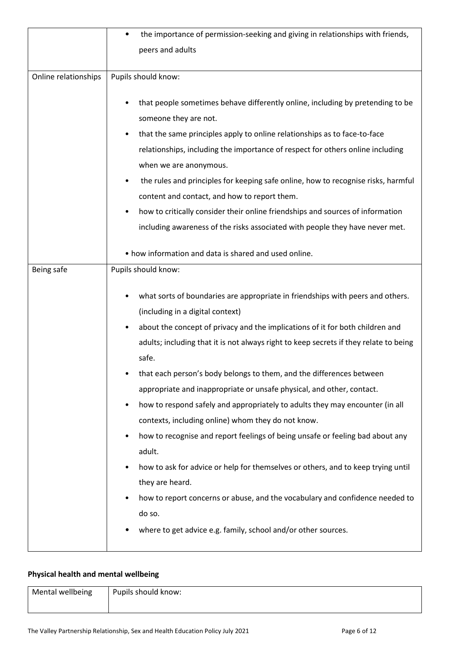|                      | the importance of permission-seeking and giving in relationships with friends,<br>٠                                                                                                                                                                                                                                                                                                                                                                                                                                                                                                                                                                                                                                                                                                                                                                                                                                                                                              |
|----------------------|----------------------------------------------------------------------------------------------------------------------------------------------------------------------------------------------------------------------------------------------------------------------------------------------------------------------------------------------------------------------------------------------------------------------------------------------------------------------------------------------------------------------------------------------------------------------------------------------------------------------------------------------------------------------------------------------------------------------------------------------------------------------------------------------------------------------------------------------------------------------------------------------------------------------------------------------------------------------------------|
|                      | peers and adults                                                                                                                                                                                                                                                                                                                                                                                                                                                                                                                                                                                                                                                                                                                                                                                                                                                                                                                                                                 |
|                      |                                                                                                                                                                                                                                                                                                                                                                                                                                                                                                                                                                                                                                                                                                                                                                                                                                                                                                                                                                                  |
| Online relationships | Pupils should know:                                                                                                                                                                                                                                                                                                                                                                                                                                                                                                                                                                                                                                                                                                                                                                                                                                                                                                                                                              |
|                      | that people sometimes behave differently online, including by pretending to be<br>٠<br>someone they are not.<br>that the same principles apply to online relationships as to face-to-face<br>relationships, including the importance of respect for others online including<br>when we are anonymous.<br>the rules and principles for keeping safe online, how to recognise risks, harmful<br>content and contact, and how to report them.<br>how to critically consider their online friendships and sources of information<br>including awareness of the risks associated with people they have never met.                                                                                                                                                                                                                                                                                                                                                                     |
|                      | • how information and data is shared and used online.                                                                                                                                                                                                                                                                                                                                                                                                                                                                                                                                                                                                                                                                                                                                                                                                                                                                                                                            |
| Being safe           | Pupils should know:                                                                                                                                                                                                                                                                                                                                                                                                                                                                                                                                                                                                                                                                                                                                                                                                                                                                                                                                                              |
|                      | what sorts of boundaries are appropriate in friendships with peers and others.<br>(including in a digital context)<br>about the concept of privacy and the implications of it for both children and<br>adults; including that it is not always right to keep secrets if they relate to being<br>safe.<br>that each person's body belongs to them, and the differences between<br>appropriate and inappropriate or unsafe physical, and other, contact.<br>how to respond safely and appropriately to adults they may encounter (in all<br>$\bullet$<br>contexts, including online) whom they do not know.<br>how to recognise and report feelings of being unsafe or feeling bad about any<br>adult.<br>how to ask for advice or help for themselves or others, and to keep trying until<br>٠<br>they are heard.<br>how to report concerns or abuse, and the vocabulary and confidence needed to<br>٠<br>do so.<br>where to get advice e.g. family, school and/or other sources. |

# **Physical health and mental wellbeing**

| Mental wellbeing | Pupils should know: |
|------------------|---------------------|
|                  |                     |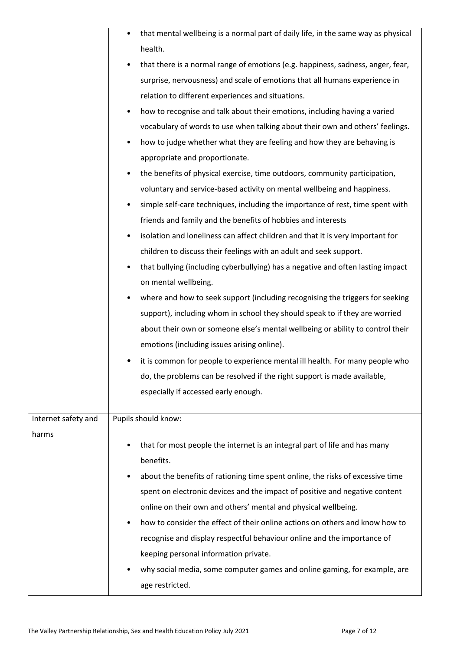|                     | that mental wellbeing is a normal part of daily life, in the same way as physical<br>٠      |
|---------------------|---------------------------------------------------------------------------------------------|
|                     | health.                                                                                     |
|                     | that there is a normal range of emotions (e.g. happiness, sadness, anger, fear,<br>٠        |
|                     | surprise, nervousness) and scale of emotions that all humans experience in                  |
|                     | relation to different experiences and situations.                                           |
|                     | how to recognise and talk about their emotions, including having a varied                   |
|                     | vocabulary of words to use when talking about their own and others' feelings.               |
|                     | how to judge whether what they are feeling and how they are behaving is                     |
|                     | appropriate and proportionate.                                                              |
|                     | the benefits of physical exercise, time outdoors, community participation,                  |
|                     | voluntary and service-based activity on mental wellbeing and happiness.                     |
|                     | simple self-care techniques, including the importance of rest, time spent with<br>٠         |
|                     | friends and family and the benefits of hobbies and interests                                |
|                     | isolation and loneliness can affect children and that it is very important for<br>$\bullet$ |
|                     | children to discuss their feelings with an adult and seek support.                          |
|                     | that bullying (including cyberbullying) has a negative and often lasting impact             |
|                     | on mental wellbeing.                                                                        |
|                     | where and how to seek support (including recognising the triggers for seeking<br>٠          |
|                     | support), including whom in school they should speak to if they are worried                 |
|                     | about their own or someone else's mental wellbeing or ability to control their              |
|                     | emotions (including issues arising online).                                                 |
|                     | it is common for people to experience mental ill health. For many people who                |
|                     | do, the problems can be resolved if the right support is made available,                    |
|                     | especially if accessed early enough.                                                        |
|                     |                                                                                             |
| Internet safety and | Pupils should know:                                                                         |
| harms               | that for most people the internet is an integral part of life and has many                  |
|                     | benefits.                                                                                   |
|                     | about the benefits of rationing time spent online, the risks of excessive time<br>٠         |
|                     | spent on electronic devices and the impact of positive and negative content                 |
|                     | online on their own and others' mental and physical wellbeing.                              |
|                     | how to consider the effect of their online actions on others and know how to<br>٠           |
|                     | recognise and display respectful behaviour online and the importance of                     |
|                     | keeping personal information private.                                                       |
|                     | why social media, some computer games and online gaming, for example, are                   |
|                     | age restricted.                                                                             |
|                     |                                                                                             |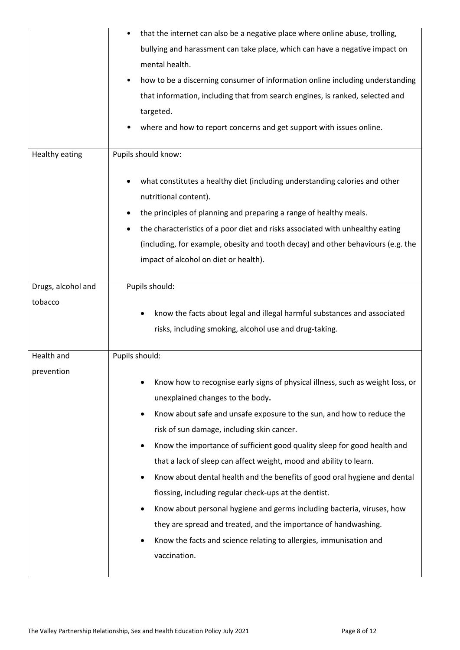|                       | that the internet can also be a negative place where online abuse, trolling,                                       |
|-----------------------|--------------------------------------------------------------------------------------------------------------------|
|                       | bullying and harassment can take place, which can have a negative impact on                                        |
|                       | mental health.                                                                                                     |
|                       | how to be a discerning consumer of information online including understanding                                      |
|                       | that information, including that from search engines, is ranked, selected and                                      |
|                       | targeted.                                                                                                          |
|                       | where and how to report concerns and get support with issues online.                                               |
| <b>Healthy eating</b> | Pupils should know:                                                                                                |
|                       | what constitutes a healthy diet (including understanding calories and other<br>nutritional content).               |
|                       | the principles of planning and preparing a range of healthy meals.                                                 |
|                       | the characteristics of a poor diet and risks associated with unhealthy eating                                      |
|                       | (including, for example, obesity and tooth decay) and other behaviours (e.g. the                                   |
|                       | impact of alcohol on diet or health).                                                                              |
| Drugs, alcohol and    | Pupils should:                                                                                                     |
| tobacco               |                                                                                                                    |
|                       | know the facts about legal and illegal harmful substances and associated                                           |
|                       | risks, including smoking, alcohol use and drug-taking.                                                             |
| Health and            | Pupils should:                                                                                                     |
| prevention            | Know how to recognise early signs of physical illness, such as weight loss, or<br>unexplained changes to the body. |
|                       | Know about safe and unsafe exposure to the sun, and how to reduce the                                              |
|                       | risk of sun damage, including skin cancer.                                                                         |
|                       | Know the importance of sufficient good quality sleep for good health and                                           |
|                       | that a lack of sleep can affect weight, mood and ability to learn.                                                 |
|                       | Know about dental health and the benefits of good oral hygiene and dental                                          |
|                       | flossing, including regular check-ups at the dentist.                                                              |
|                       | Know about personal hygiene and germs including bacteria, viruses, how                                             |
|                       | they are spread and treated, and the importance of handwashing.                                                    |
|                       | Know the facts and science relating to allergies, immunisation and                                                 |
|                       | vaccination.                                                                                                       |
|                       |                                                                                                                    |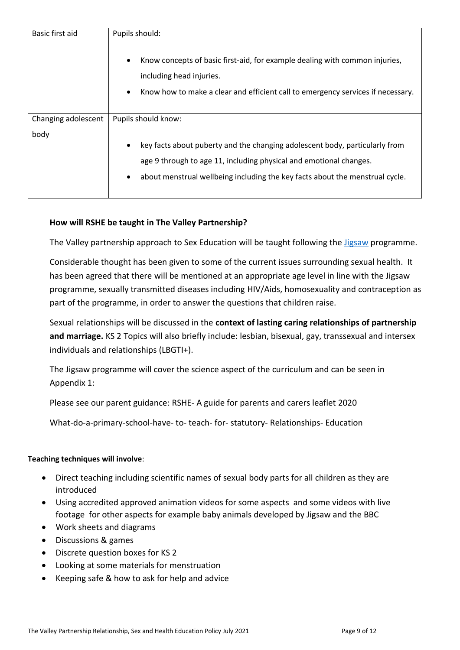| Basic first aid     | Pupils should:                                                                                                                                                                             |
|---------------------|--------------------------------------------------------------------------------------------------------------------------------------------------------------------------------------------|
|                     | Know concepts of basic first-aid, for example dealing with common injuries,<br>including head injuries.<br>Know how to make a clear and efficient call to emergency services if necessary. |
| Changing adolescent | Pupils should know:                                                                                                                                                                        |
| body                |                                                                                                                                                                                            |
|                     | key facts about puberty and the changing adolescent body, particularly from                                                                                                                |
|                     | age 9 through to age 11, including physical and emotional changes.                                                                                                                         |
|                     | about menstrual wellbeing including the key facts about the menstrual cycle.<br>$\bullet$                                                                                                  |

# **How will RSHE be taught in The Valley Partnership?**

The Valley partnership approach to Sex Education will be taught following the [Jigsaw](https://www.jigsawpshe.com/primary-pshe-scheme-of-work-including-statutory-relationships-and-health-education/) programme.

Considerable thought has been given to some of the current issues surrounding sexual health. It has been agreed that there will be mentioned at an appropriate age level in line with the Jigsaw programme, sexually transmitted diseases including HIV/Aids, homosexuality and contraception as part of the programme, in order to answer the questions that children raise.

Sexual relationships will be discussed in the **context of lasting caring relationships of partnership and marriage.** KS 2 Topics will also briefly include: lesbian, bisexual, gay, transsexual and intersex individuals and relationships (LBGTI+).

The Jigsaw programme will cover the science aspect of the curriculum and can be seen in Appendix 1:

Please see our parent guidance: RSHE- A guide for parents and carers leaflet 2020

What-do-a-primary-school-have- to- teach- for- statutory- Relationships- Education

#### **Teaching techniques will involve**:

- Direct teaching including scientific names of sexual body parts for all children as they are introduced
- Using accredited approved animation videos for some aspects and some videos with live footage for other aspects for example baby animals developed by Jigsaw and the BBC
- Work sheets and diagrams
- Discussions & games
- Discrete question boxes for KS 2
- Looking at some materials for menstruation
- Keeping safe & how to ask for help and advice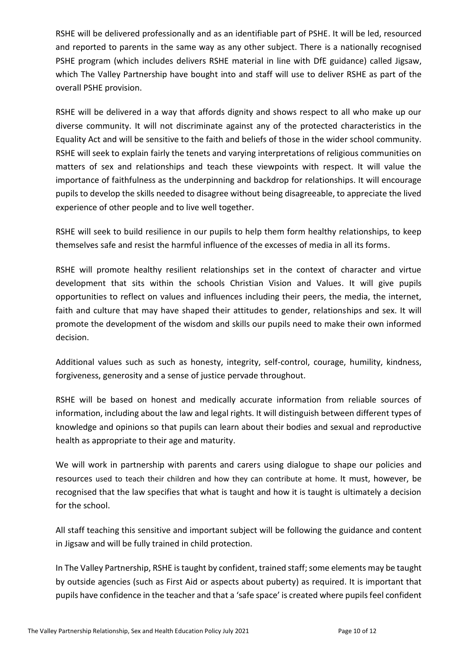RSHE will be delivered professionally and as an identifiable part of PSHE. It will be led, resourced and reported to parents in the same way as any other subject. There is a nationally recognised PSHE program (which includes delivers RSHE material in line with DfE guidance) called Jigsaw, which The Valley Partnership have bought into and staff will use to deliver RSHE as part of the overall PSHE provision.

RSHE will be delivered in a way that affords dignity and shows respect to all who make up our diverse community. It will not discriminate against any of the protected characteristics in the Equality Act and will be sensitive to the faith and beliefs of those in the wider school community. RSHE will seek to explain fairly the tenets and varying interpretations of religious communities on matters of sex and relationships and teach these viewpoints with respect. It will value the importance of faithfulness as the underpinning and backdrop for relationships. It will encourage pupils to develop the skills needed to disagree without being disagreeable, to appreciate the lived experience of other people and to live well together.

RSHE will seek to build resilience in our pupils to help them form healthy relationships, to keep themselves safe and resist the harmful influence of the excesses of media in all its forms.

RSHE will promote healthy resilient relationships set in the context of character and virtue development that sits within the schools Christian Vision and Values. It will give pupils opportunities to reflect on values and influences including their peers, the media, the internet, faith and culture that may have shaped their attitudes to gender, relationships and sex. It will promote the development of the wisdom and skills our pupils need to make their own informed decision.

Additional values such as such as honesty, integrity, self-control, courage, humility, kindness, forgiveness, generosity and a sense of justice pervade throughout.

RSHE will be based on honest and medically accurate information from reliable sources of information, including about the law and legal rights. It will distinguish between different types of knowledge and opinions so that pupils can learn about their bodies and sexual and reproductive health as appropriate to their age and maturity.

We will work in partnership with parents and carers using dialogue to shape our policies and resources used to teach their children and how they can contribute at home. It must, however, be recognised that the law specifies that what is taught and how it is taught is ultimately a decision for the school.

All staff teaching this sensitive and important subject will be following the guidance and content in Jigsaw and will be fully trained in child protection.

In The Valley Partnership, RSHE is taught by confident, trained staff; some elements may be taught by outside agencies (such as First Aid or aspects about puberty) as required. It is important that pupils have confidence in the teacher and that a 'safe space' is created where pupils feel confident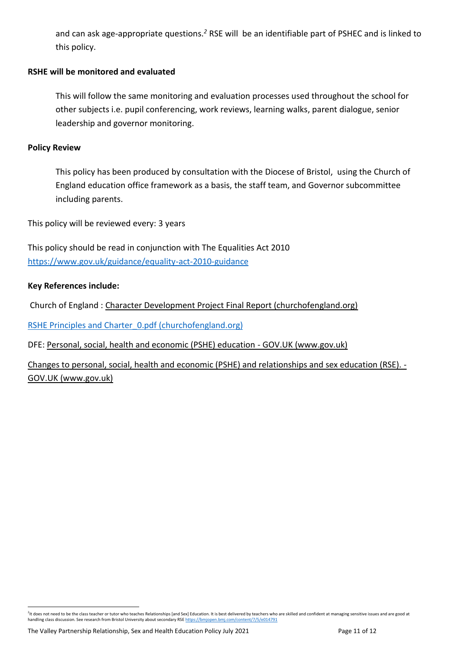and can ask age-appropriate questions.*<sup>2</sup>* RSE will be an identifiable part of PSHEC and is linked to this policy.

#### **RSHE will be monitored and evaluated**

This will follow the same monitoring and evaluation processes used throughout the school for other subjects i.e. pupil conferencing, work reviews, learning walks, parent dialogue, senior leadership and governor monitoring.

#### **Policy Review**

This policy has been produced by consultation with the Diocese of Bristol, using the Church of England education office framework as a basis, the staff team, and Governor subcommittee including parents.

This policy will be reviewed every: 3 years

This policy should be read in conjunction with The Equalities Act 2010 <https://www.gov.uk/guidance/equality-act-2010-guidance>

#### **Key References include:**

Church of England : [Character Development Project Final Report \(churchofengland.org\)](https://www.churchofengland.org/sites/default/files/2018-01/What%20if%20Learning%20Character%20Development%20Project%20Final%20Report%20%28Initial%20Phase%29%20April%202016.pdf)

RSHE Principles and Charter 0.pdf (churchofengland.org)

DFE[: Personal, social, health and economic \(PSHE\) education -](https://www.gov.uk/government/publications/personal-social-health-and-economic-education-pshe/personal-social-health-and-economic-pshe-education) GOV.UK (www.gov.uk)

[Changes to personal, social, health and economic \(PSHE\) and relationships and sex education \(RSE\). -](https://www.gov.uk/government/publications/changes-to-personal-social-health-and-economic-pshe-and-relationships-and-sex-education-rse) GOV.UK [\(www.gov.uk\)](https://www.gov.uk/government/publications/changes-to-personal-social-health-and-economic-pshe-and-relationships-and-sex-education-rse)

<sup>&</sup>lt;sup>2</sup>It does not need to be the class teacher or tutor who teaches Relationships [and Sex] Education. It is best delivered by teachers who are skilled and confident at managing sensitive issues and are good at handling class discussion. See research from Bristol University about secondary RS[E https://bmjopen.bmj.com/content/7/5/e014791](https://bmjopen.bmj.com/content/7/5/e014791)